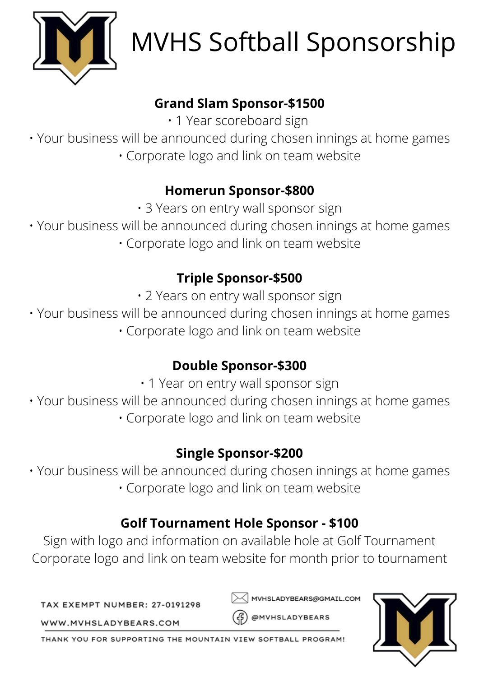

# MVHS Softball Sponsorship

## **Grand Slam Sponsor-\$1500**

• 1 Year scoreboard sign

• Your business will be announced during chosen innings at home games • Corporate logo and link on team website

## **Homerun Sponsor-\$800**

• 3 Years on entry wall sponsor sign

• Your business will be announced during chosen innings at home games

• Corporate logo and link on team website

# **Triple Sponsor-\$500**

• 2 Years on entry wall sponsor sign

• Your business will be announced during chosen innings at home games

• Corporate logo and link on team website

# **Double Sponsor-\$300**

• 1 Year on entry wall sponsor sign

• Your business will be announced during chosen innings at home games • Corporate logo and link on team website

## **Single Sponsor-\$200**

• Your business will be announced during chosen innings at home games • Corporate logo and link on team website

# **Golf Tournament Hole Sponsor - \$100**

Sign with logo and information on available hole at Golf Tournament Corporate logo and link on team website for month prior to tournament

TAX EXEMPT NUMBER: 27-0191298

MVHSLADYBEARS@GMAIL.COM

@MVHSLADYBEARS



WWW.MVHSLADYBEARS.COM

THANK YOU FOR SUPPORTING THE MOUNTAIN VIEW SOFTBALL PROGRAM!